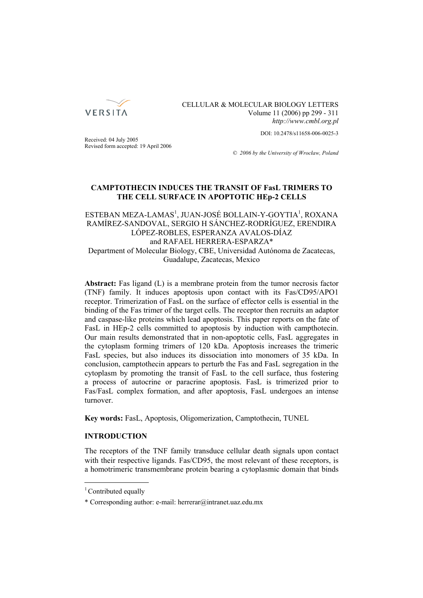

CELLULAR & MOLECULAR BIOLOGY LETTERS Volume 11 (2006) pp 299 - 311 *http://www.cmbl.org.pl*

DOI: 10.2478/s11658-006-0025-3

Received: 04 July 2005 Revised form accepted: 19 April 2006

*© 2006 by the University of Wrocław, Poland*

# **CAMPTOTHECIN INDUCES THE TRANSIT OF FasL TRIMERS TO THE CELL SURFACE IN APOPTOTIC HEp-2 CELLS**

ESTEBAN MEZA-LAMAS<sup>1</sup>, JUAN-JOSÉ BOLLAIN-Y-GOYTIA<sup>1</sup>, ROXANA RAMÍREZ-SANDOVAL, SERGIO H SÁNCHEZ-RODRÍGUEZ, ERENDIRA LÓPEZ-ROBLES, ESPERANZA AVALOS-DÍAZ and RAFAEL HERRERA-ESPARZA\* Department of Molecular Biology, CBE, Universidad Autónoma de Zacatecas, Guadalupe, Zacatecas, Mexico

**Abstract:** Fas ligand (L) is a membrane protein from the tumor necrosis factor (TNF) family. It induces apoptosis upon contact with its Fas/CD95/APO1 receptor. Trimerization of FasL on the surface of effector cells is essential in the binding of the Fas trimer of the target cells. The receptor then recruits an adaptor and caspase-like proteins which lead apoptosis. This paper reports on the fate of FasL in HEp-2 cells committed to apoptosis by induction with campthotecin. Our main results demonstrated that in non-apoptotic cells, FasL aggregates in the cytoplasm forming trimers of 120 kDa. Apoptosis increases the trimeric FasL species, but also induces its dissociation into monomers of 35 kDa. In conclusion, camptothecin appears to perturb the Fas and FasL segregation in the cytoplasm by promoting the transit of FasL to the cell surface, thus fostering a process of autocrine or paracrine apoptosis. FasL is trimerized prior to Fas/FasL complex formation, and after apoptosis, FasL undergoes an intense turnover.

**Key words:** FasL, Apoptosis, Oligomerization, Camptothecin, TUNEL

# **INTRODUCTION**

The receptors of the TNF family transduce cellular death signals upon contact with their respective ligands. Fas/CD95, the most relevant of these receptors, is a homotrimeric transmembrane protein bearing a cytoplasmic domain that binds

<sup>&</sup>lt;sup>1</sup> Contributed equally

<sup>\*</sup> Corresponding author: e-mail: herrerar@intranet.uaz.edu.mx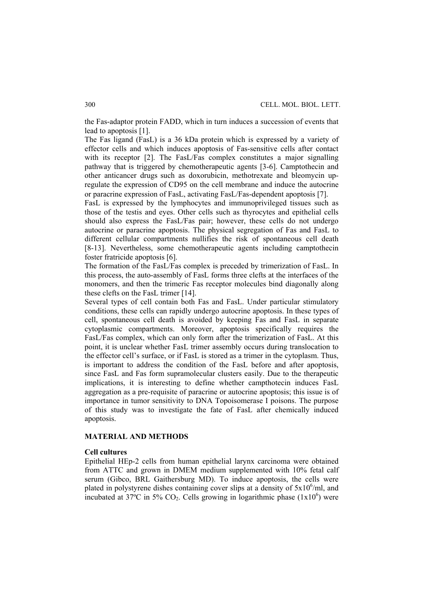the Fas-adaptor protein FADD, which in turn induces a succession of events that lead to apoptosis [1].

The Fas ligand (FasL) is a 36 kDa protein which is expressed by a variety of effector cells and which induces apoptosis of Fas-sensitive cells after contact with its receptor [2]. The FasL/Fas complex constitutes a major signalling pathway that is triggered by chemotherapeutic agents [3-6]. Camptothecin and other anticancer drugs such as doxorubicin, methotrexate and bleomycin upregulate the expression of CD95 on the cell membrane and induce the autocrine or paracrine expression of FasL, activating FasL/Fas-dependent apoptosis [7].

FasL is expressed by the lymphocytes and immunoprivileged tissues such as those of the testis and eyes. Other cells such as thyrocytes and epithelial cells should also express the FasL/Fas pair; however, these cells do not undergo autocrine or paracrine apoptosis. The physical segregation of Fas and FasL to different cellular compartments nullifies the risk of spontaneous cell death [8-13]. Nevertheless, some chemotherapeutic agents including camptothecin foster fratricide apoptosis [6].

The formation of the FasL/Fas complex is preceded by trimerization of FasL. In this process, the auto-assembly of FasL forms three clefts at the interfaces of the monomers, and then the trimeric Fas receptor molecules bind diagonally along these clefts on the FasL trimer [14].

Several types of cell contain both Fas and FasL. Under particular stimulatory conditions, these cells can rapidly undergo autocrine apoptosis. In these types of cell, spontaneous cell death is avoided by keeping Fas and FasL in separate cytoplasmic compartments. Moreover, apoptosis specifically requires the FasL/Fas complex, which can only form after the trimerization of FasL. At this point, it is unclear whether FasL trimer assembly occurs during translocation to the effector cell's surface, or if FasL is stored as a trimer in the cytoplasm. Thus, is important to address the condition of the FasL before and after apoptosis, since FasL and Fas form supramolecular clusters easily. Due to the therapeutic implications, it is interesting to define whether campthotecin induces FasL aggregation as a pre-requisite of paracrine or autocrine apoptosis; this issue is of importance in tumor sensitivity to DNA Topoisomerase I poisons. The purpose of this study was to investigate the fate of FasL after chemically induced apoptosis.

## **MATERIAL AND METHODS**

#### **Cell cultures**

Epithelial HEp-2 cells from human epithelial larynx carcinoma were obtained from ATTC and grown in DMEM medium supplemented with 10% fetal calf serum (Gibco, BRL Gaithersburg MD). To induce apoptosis, the cells were plated in polystyrene dishes containing cover slips at a density of  $5x10^6$ /ml, and incubated at 37°C in 5%  $CO<sub>2</sub>$ . Cells growing in logarithmic phase (1x10<sup>6</sup>) were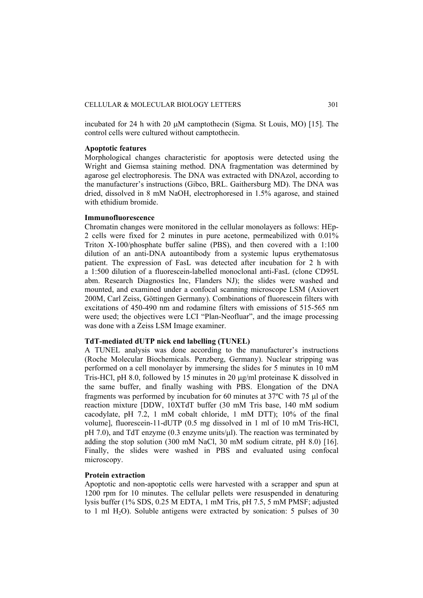incubated for 24 h with 20 μM camptothecin (Sigma. St Louis, MO) [15]. The control cells were cultured without camptothecin.

#### **Apoptotic features**

Morphological changes characteristic for apoptosis were detected using the Wright and Giemsa staining method. DNA fragmentation was determined by agarose gel electrophoresis. The DNA was extracted with DNAzol, according to the manufacturer's instructions (Gibco, BRL. Gaithersburg MD). The DNA was dried, dissolved in 8 mM NaOH, electrophoresed in 1.5% agarose, and stained with ethidium bromide.

### **Immunofluorescence**

Chromatin changes were monitored in the cellular monolayers as follows: HEp-2 cells were fixed for 2 minutes in pure acetone, permeabilized with 0.01% Triton X-100/phosphate buffer saline (PBS), and then covered with a 1:100 dilution of an anti-DNA autoantibody from a systemic lupus erythematosus patient. The expression of FasL was detected after incubation for 2 h with a 1:500 dilution of a fluorescein-labelled monoclonal anti-FasL (clone CD95L abm. Research Diagnostics Inc, Flanders NJ); the slides were washed and mounted, and examined under a confocal scanning microscope LSM (Axiovert 200M, Carl Zeiss, Göttingen Germany). Combinations of fluorescein filters with excitations of 450-490 nm and rodamine filters with emissions of 515-565 nm were used; the objectives were LCI "Plan-Neofluar", and the image processing was done with a Zeiss LSM Image examiner.

## **TdT-mediated dUTP nick end labelling (TUNEL)**

A TUNEL analysis was done according to the manufacturer's instructions (Roche Molecular Biochemicals. Penzberg, Germany). Nuclear stripping was performed on a cell monolayer by immersing the slides for 5 minutes in 10 mM Tris-HCl, pH 8.0, followed by 15 minutes in 20 μg/ml proteinase K dissolved in the same buffer, and finally washing with PBS. Elongation of the DNA fragments was performed by incubation for 60 minutes at 37ºC with 75 μl of the reaction mixture [DDW, 10XTdT buffer (30 mM Tris base, 140 mM sodium cacodylate, pH 7.2, 1 mM cobalt chloride, 1 mM DTT); 10% of the final volume], fluorescein-11-dUTP (0.5 mg dissolved in 1 ml of 10 mM Tris-HCl, pH 7.0), and TdT enzyme (0.3 enzyme units/μl). The reaction was terminated by adding the stop solution (300 mM NaCl, 30 mM sodium citrate, pH 8.0) [16]. Finally, the slides were washed in PBS and evaluated using confocal microscopy.

## **Protein extraction**

Apoptotic and non-apoptotic cells were harvested with a scrapper and spun at 1200 rpm for 10 minutes. The cellular pellets were resuspended in denaturing lysis buffer (1% SDS, 0.25 M EDTA, 1 mM Tris, pH 7.5, 5 mM PMSF; adjusted to 1 ml  $H_2O$ ). Soluble antigens were extracted by sonication: 5 pulses of 30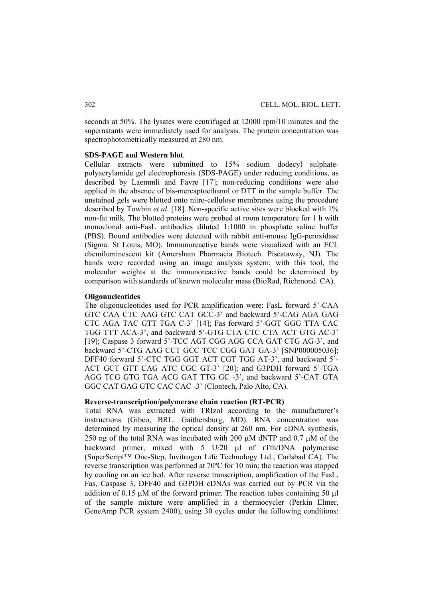seconds at 50%. The lysates were centrifuged at 12000 rpm/10 minutes and the supernatants were immediately used for analysis. The protein concentration was spectrophotometrically measured at 280 nm.

### **SDS-PAGE and Western blot***.*

Cellular extracts were submitted to 15% sodium dodecyl sulphatepolyacrylamide gel electrophoresis (SDS-PAGE) under reducing conditions, as described by Laemmli and Favre [17]; non-reducing conditions were also applied in the absence of bis-mercaptoethanol or DTT in the sample buffer. The unstained gels were blotted onto nitro-cellulose membranes using the procedure described by Towbin *et al.* [18]. Non-specific active sites were blocked with 1% non-fat milk. The blotted proteins were probed at room temperature for 1 h with monoclonal anti-FasL antibodies diluted 1:1000 in phosphate saline buffer (PBS). Bound antibodies were detected with rabbit anti-mouse IgG-peroxidase (Sigma. St Louis, MO). Immunoreactive bands were visualized with an ECL chemiluminescent kit (Amersham Pharmacia Biotech. Piscataway, NJ). The bands were recorded using an image analysis system; with this tool, the molecular weights at the immunoreactive bands could be determined by comparison with standards of known molecular mass (BioRad, Richmond. CA).

#### **Oligonucleotides**

The oligonucleotides used for PCR amplification were: FasL forward 5'-CAA GTC CAA CTC AAG GTC CAT GCC-3' and backward 5'-CAG AGA GAG CTC AGA TAC GTT TGA C-3' [14]; Fas forward 5'-GGT GGG TTA CAC TGG TTT ACA-3', and backward 5'-GTG CTA CTC CTA ACT GTG AC-3' [19]; Caspase 3 forward 5'-TCC AGT CGG AGG CCA GAT CTG AG-3', and backward 5'-CTG AAG CCT GCC TCC CGG GAT GA-3' [SNP000005036]; DFF40 forward 5'-CTC TGG GGT ACT CGT TGG AT-3', and backward 5'- ACT GCT GTT CAG ATC CGC GT-3' [20]; and G3PDH forward 5'-TGA AGG TCG GTG TGA ACG GAT TTG GC -3', and backward 5'-CAT GTA GGC CAT GAG GTC CAC CAC -3' (Clontech, Palo Alto, CA).

#### **Reverse-transcription/polymerase chain reaction (RT-PCR)**

Total RNA was extracted with TRIzol according to the manufacturer's instructions (Gibco, BRL. Gaithersburg, MD). RNA concentration was determined by measuring the optical density at 260 nm. For cDNA synthesis, 250 ng of the total RNA was incubated with 200 μM dNTP and 0.7 μM of the backward primer, mixed with 5 U/20 μl of rTth/DNA polymerase (SuperScript™ One-Step, Invitrogen Life Technology Ltd., Carlsbad CA). The reverse transcription was performed at 70ºC for 10 min; the reaction was stopped by cooling on an ice bed. After reverse transcription, amplification of the FasL, Fas, Caspase 3, DFF40 and G3PDH cDNAs was carried out by PCR via the addition of 0.15 μM of the forward primer. The reaction tubes containing 50 μl of the sample mixture were amplified in a thermocycler (Perkin Elmer, GeneAmp PCR system 2400), using 30 cycles under the following conditions: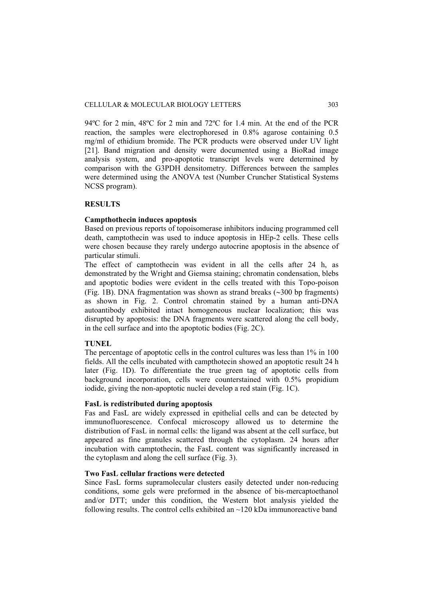94ºC for 2 min, 48ºC for 2 min and 72ºC for 1.4 min. At the end of the PCR reaction, the samples were electrophoresed in 0.8% agarose containing 0.5 mg/ml of ethidium bromide. The PCR products were observed under UV light [21]. Band migration and density were documented using a BioRad image analysis system, and pro-apoptotic transcript levels were determined by comparison with the G3PDH densitometry. Differences between the samples were determined using the ANOVA test (Number Cruncher Statistical Systems NCSS program).

# **RESULTS**

#### **Campthothecin induces apoptosis**

Based on previous reports of topoisomerase inhibitors inducing programmed cell death, camptothecin was used to induce apoptosis in HEp-2 cells. These cells were chosen because they rarely undergo autocrine apoptosis in the absence of particular stimuli.

The effect of camptothecin was evident in all the cells after 24 h, as demonstrated by the Wright and Giemsa staining; chromatin condensation, blebs and apoptotic bodies were evident in the cells treated with this Topo-poison (Fig. 1B). DNA fragmentation was shown as strand breaks (∼300 bp fragments) as shown in Fig. 2. Control chromatin stained by a human anti-DNA autoantibody exhibited intact homogeneous nuclear localization; this was disrupted by apoptosis: the DNA fragments were scattered along the cell body, in the cell surface and into the apoptotic bodies (Fig. 2C).

## **TUNEL**

The percentage of apoptotic cells in the control cultures was less than 1% in 100 fields. All the cells incubated with campthotecin showed an apoptotic result 24 h later (Fig. 1D). To differentiate the true green tag of apoptotic cells from background incorporation, cells were counterstained with 0.5% propidium iodide, giving the non-apoptotic nuclei develop a red stain (Fig. 1C).

## **FasL is redistributed during apoptosis**

Fas and FasL are widely expressed in epithelial cells and can be detected by immunofluorescence. Confocal microscopy allowed us to determine the distribution of FasL in normal cells: the ligand was absent at the cell surface, but appeared as fine granules scattered through the cytoplasm. 24 hours after incubation with camptothecin, the FasL content was significantly increased in the cytoplasm and along the cell surface (Fig. 3).

## **Two FasL cellular fractions were detected**

Since FasL forms supramolecular clusters easily detected under non-reducing conditions, some gels were preformed in the absence of bis-mercaptoethanol and/or DTT; under this condition, the Western blot analysis yielded the following results. The control cells exhibited an  $\sim$ 120 kDa immunoreactive band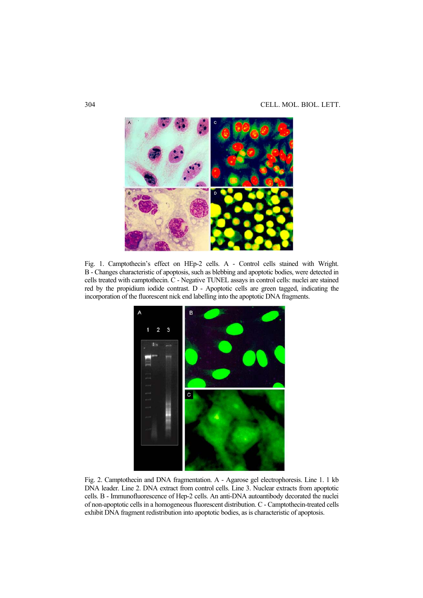

Fig. 1. Camptothecin's effect on HEp-2 cells. A - Control cells stained with Wright. B - Changes characteristic of apoptosis, such as blebbing and apoptotic bodies, were detected in cells treated with camptothecin. C - Negative TUNEL assays in control cells: nuclei are stained red by the propidium iodide contrast. D - Apoptotic cells are green tagged, indicating the incorporation of the fluorescent nick end labelling into the apoptotic DNA fragments.



Fig. 2. Camptothecin and DNA fragmentation. A - Agarose gel electrophoresis. Line 1. 1 kb DNA leader. Line 2. DNA extract from control cells. Line 3. Nuclear extracts from apoptotic cells. B - Immunofluorescence of Hep-2 cells. An anti-DNA autoantibody decorated the nuclei of non-apoptotic cells in a homogeneous fluorescent distribution. C - Camptothecin-treated cells exhibit DNA fragment redistribution into apoptotic bodies, as is characteristic of apoptosis.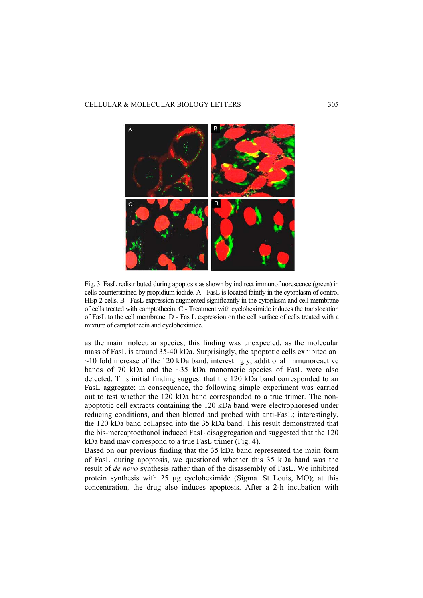### CELLULAR & MOLECULAR BIOLOGY LETTERS 305



Fig. 3. FasL redistributed during apoptosis as shown by indirect immunofluorescence (green) in cells counterstained by propidium iodide. A - FasL is located faintly in the cytoplasm of control HEp-2 cells. B - FasL expression augmented significantly in the cytoplasm and cell membrane of cells treated with camptothecin. C - Treatment with cycloheximide induces the translocation of FasL to the cell membrane. D - Fas L expression on the cell surface of cells treated with a mixture of camptothecin and cycloheximide.

as the main molecular species; this finding was unexpected, as the molecular mass of FasL is around 35-40 kDa. Surprisingly, the apoptotic cells exhibited an  $\sim$ 10 fold increase of the 120 kDa band; interestingly, additional immunoreactive bands of 70 kDa and the  $\sim$ 35 kDa monomeric species of FasL were also detected. This initial finding suggest that the 120 kDa band corresponded to an FasL aggregate; in consequence, the following simple experiment was carried out to test whether the 120 kDa band corresponded to a true trimer. The nonapoptotic cell extracts containing the 120 kDa band were electrophoresed under reducing conditions, and then blotted and probed with anti-FasL; interestingly, the 120 kDa band collapsed into the 35 kDa band. This result demonstrated that the bis-mercaptoethanol induced FasL disaggregation and suggested that the 120 kDa band may correspond to a true FasL trimer (Fig. 4).

Based on our previous finding that the 35 kDa band represented the main form of FasL during apoptosis, we questioned whether this 35 kDa band was the result of *de novo* synthesis rather than of the disassembly of FasL. We inhibited protein synthesis with 25 μg cycloheximide (Sigma. St Louis, MO); at this concentration, the drug also induces apoptosis. After a 2-h incubation with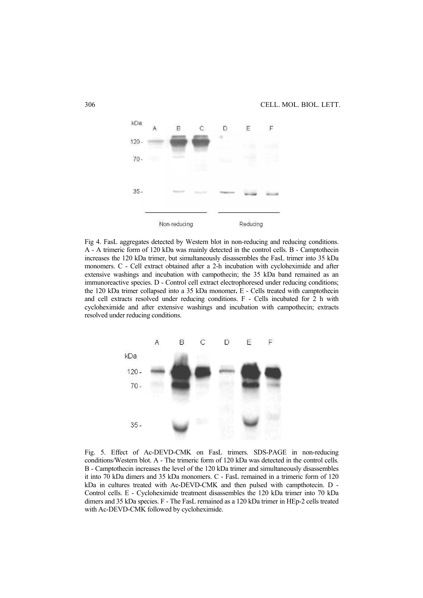

Fig 4. FasL aggregates detected by Western blot in non-reducing and reducing conditions. A - A trimeric form of 120 kDa was mainly detected in the control cells. B - Camptothecin increases the 120 kDa trimer, but simultaneously disassembles the FasL trimer into 35 kDa monomers. C - Cell extract obtained after a 2-h incubation with cycloheximide and after extensive washings and incubation with campothecin; the 35 kDa band remained as an immunoreactive species. D - Control cell extract electrophoresed under reducing conditions; the 120 kDa trimer collapsed into a 35 kDa monomer**.** E - Cells treated with camptothecin and cell extracts resolved under reducing conditions. F - Cells incubated for 2 h with cycloheximide and after extensive washings and incubation with campothecin; extracts resolved under reducing conditions.



Fig. 5. Effect of Ac-DEVD-CMK on FasL trimers. SDS-PAGE in non-reducing conditions/Western blot. A - The trimeric form of 120 kDa was detected in the control cells. B - Camptothecin increases the level of the 120 kDa trimer and simultaneously disassembles it into 70 kDa dimers and 35 kDa monomers. C - FasL remained in a trimeric form of 120 kDa in cultures treated with Ac-DEVD-CMK and then pulsed with campthotecin. D - Control cells. E - Cycloheximide treatment disassembles the 120 kDa trimer into 70 kDa dimers and 35 kDa species. F - The FasL remained as a 120 kDa trimer in HEp-2 cells treated with Ac-DEVD-CMK followed by cycloheximide.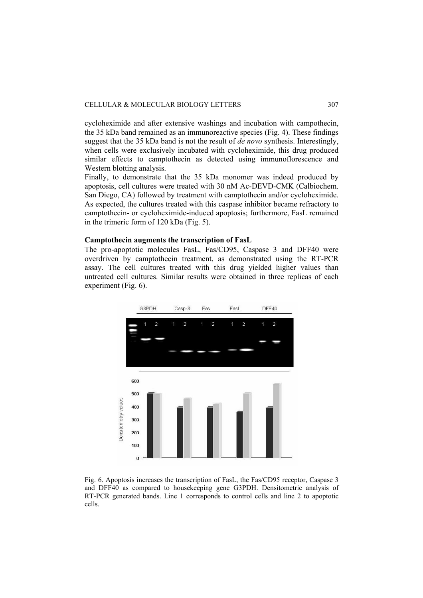cycloheximide and after extensive washings and incubation with campothecin, the 35 kDa band remained as an immunoreactive species (Fig. 4). These findings suggest that the 35 kDa band is not the result of *de novo* synthesis. Interestingly, when cells were exclusively incubated with cycloheximide, this drug produced similar effects to camptothecin as detected using immunoflorescence and Western blotting analysis.

Finally, to demonstrate that the 35 kDa monomer was indeed produced by apoptosis, cell cultures were treated with 30 nM Ac-DEVD-CMK (Calbiochem. San Diego, CA) followed by treatment with camptothecin and/or cycloheximide. As expected, the cultures treated with this caspase inhibitor became refractory to camptothecin- or cycloheximide-induced apoptosis; furthermore, FasL remained in the trimeric form of 120 kDa (Fig. 5).

## **Camptothecin augments the transcription of FasL**

The pro-apoptotic molecules FasL, Fas/CD95, Caspase 3 and DFF40 were overdriven by camptothecin treatment, as demonstrated using the RT-PCR assay. The cell cultures treated with this drug yielded higher values than untreated cell cultures. Similar results were obtained in three replicas of each experiment (Fig. 6).



Fig. 6. Apoptosis increases the transcription of FasL, the Fas/CD95 receptor, Caspase 3 and DFF40 as compared to housekeeping gene G3PDH. Densitometric analysis of RT-PCR generated bands. Line 1 corresponds to control cells and line 2 to apoptotic cells.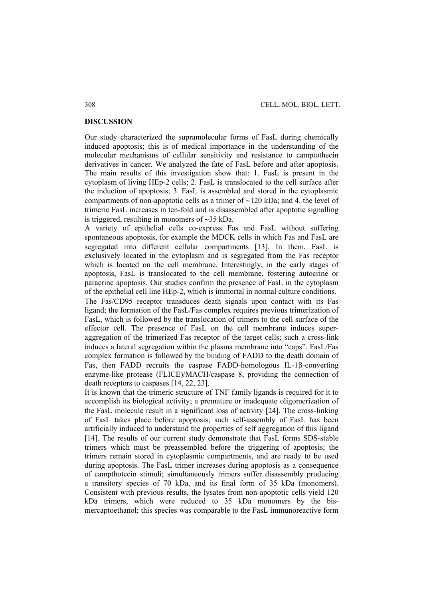## **DISCUSSION**

Our study characterized the supramolecular forms of FasL during chemically induced apoptosis; this is of medical importance in the understanding of the molecular mechanisms of cellular sensitivity and resistance to camptothecin derivatives in cancer. We analyzed the fate of FasL before and after apoptosis. The main results of this investigation show that: 1. FasL is present in the cytoplasm of living HEp-2 cells; 2. FasL is translocated to the cell surface after the induction of apoptosis; 3. FasL is assembled and stored in the cytoplasmic compartments of non-apoptotic cells as a trimer of ∼120 kDa; and 4. the level of trimeric FasL increases in ten-fold and is disassembled after apoptotic signalling is triggered, resulting in monomers of ∼35 kDa.

A variety of epithelial cells co-express Fas and FasL without suffering spontaneous apoptosis, for example the MDCK cells in which Fas and FasL are segregated into different cellular compartments [13]. In them, FasL is exclusively located in the cytoplasm and is segregated from the Fas receptor which is located on the cell membrane. Interestingly, in the early stages of apoptosis, FasL is translocated to the cell membrane, fostering autocrine or paracrine apoptosis. Our studies confirm the presence of FasL in the cytoplasm of the epithelial cell line HEp-2, which is immortal in normal culture conditions.

The Fas/CD95 receptor transduces death signals upon contact with its Fas ligand; the formation of the FasL/Fas complex requires previous trimerization of FasL, which is followed by the translocation of trimers to the cell surface of the effector cell. The presence of FasL on the cell membrane induces superaggregation of the trimerized Fas receptor of the target cells; such a cross-link induces a lateral segregation within the plasma membrane into "caps". FasL/Fas complex formation is followed by the binding of FADD to the death domain of Fas, then FADD recruits the caspase FADD-homologous IL-1β-converting enzyme-like protease (FLICE)/MACH/caspase 8, providing the connection of death receptors to caspases [14, 22, 23].

It is known that the trimeric structure of TNF family ligands is required for it to accomplish its biological activity; a premature or inadequate oligomerization of the FasL molecule result in a significant loss of activity [24]. The cross-linking of FasL takes place before apoptosis; such self-assembly of FasL has been artificially induced to understand the properties of self aggregation of this ligand [14]. The results of our current study demonstrate that FasL forms SDS-stable trimers which must be preassembled before the triggering of apoptosis; the trimers remain stored in cytoplasmic compartments, and are ready to be used during apoptosis. The FasL trimer increases during apoptosis as a consequence of campthotecin stimuli; simultaneously trimers suffer disassembly producing a transitory species of 70 kDa, and its final form of 35 kDa (monomers). Consistent with previous results, the lysates from non-apoptotic cells yield 120 kDa trimers, which were reduced to 35 kDa monomers by the bismercaptoethanol; this species was comparable to the FasL immunoreactive form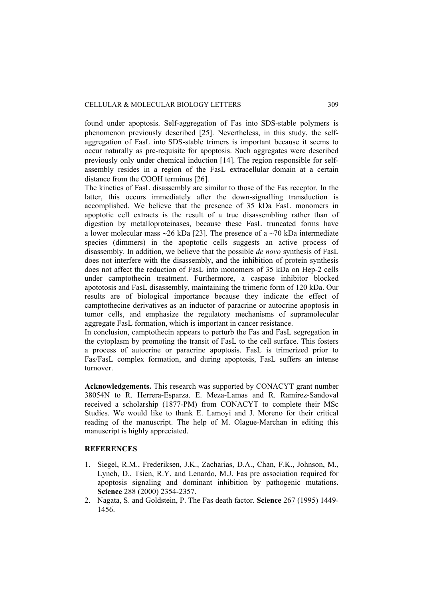found under apoptosis. Self-aggregation of Fas into SDS-stable polymers is phenomenon previously described [25]. Nevertheless, in this study, the selfaggregation of FasL into SDS-stable trimers is important because it seems to occur naturally as pre-requisite for apoptosis. Such aggregates were described previously only under chemical induction [14]. The region responsible for selfassembly resides in a region of the FasL extracellular domain at a certain distance from the COOH terminus [26].

The kinetics of FasL disassembly are similar to those of the Fas receptor. In the latter, this occurs immediately after the down-signalling transduction is accomplished. We believe that the presence of 35 kDa FasL monomers in apoptotic cell extracts is the result of a true disassembling rather than of digestion by metalloproteinases, because these FasL truncated forms have a lower molecular mass ∼26 kDa [23]. The presence of a ~70 kDa intermediate species (dimmers) in the apoptotic cells suggests an active process of disassembly. In addition, we believe that the possible *de novo* synthesis of FasL does not interfere with the disassembly, and the inhibition of protein synthesis does not affect the reduction of FasL into monomers of 35 kDa on Hep-2 cells under camptothecin treatment. Furthermore, a caspase inhibitor blocked apototosis and FasL disassembly, maintaining the trimeric form of 120 kDa. Our results are of biological importance because they indicate the effect of camptothecine derivatives as an inductor of paracrine or autocrine apoptosis in tumor cells, and emphasize the regulatory mechanisms of supramolecular aggregate FasL formation, which is important in cancer resistance.

In conclusion, camptothecin appears to perturb the Fas and FasL segregation in the cytoplasm by promoting the transit of FasL to the cell surface. This fosters a process of autocrine or paracrine apoptosis. FasL is trimerized prior to Fas/FasL complex formation, and during apoptosis, FasL suffers an intense turnover.

**Acknowledgements.** This research was supported by CONACYT grant number 38054N to R. Herrera-Esparza. E. Meza-Lamas and R. Ramírez-Sandoval received a scholarship (1877-PM) from CONACYT to complete their MSc Studies. We would like to thank E. Lamoyi and J. Moreno for their critical reading of the manuscript. The help of M. Olague-Marchan in editing this manuscript is highly appreciated.

## **REFERENCES**

- 1. Siegel, R.M., Frederiksen, J.K., Zacharias, D.A., Chan, F.K., Johnson, M., Lynch, D., Tsien, R.Y. and Lenardo, M.J. Fas pre association required for apoptosis signaling and dominant inhibition by pathogenic mutations. **Science** 288 (2000) 2354-2357.
- 2. Nagata, S. and Goldstein, P. The Fas death factor. **Science** 267 (1995) 1449- 1456.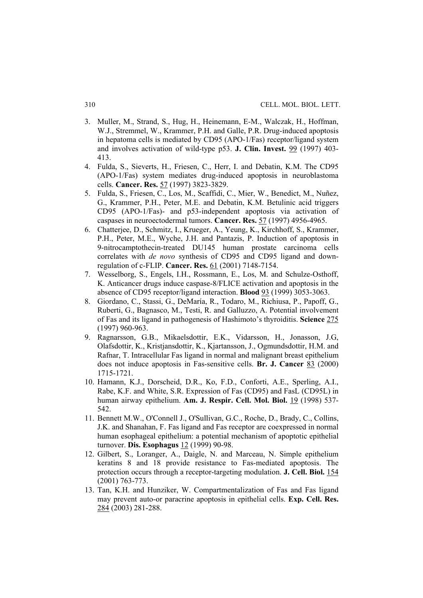- 3. Muller, M., Strand, S., Hug, H., Heinemann, E-M., Walczak, H., Hoffman, W.J., Stremmel, W., Krammer, P.H. and Galle, P.R. Drug-induced apoptosis in hepatoma cells is mediated by CD95 (APO-1/Fas) receptor/ligand system and involves activation of wild-type p53. **J. Clin. Invest.** 99 (1997) 403- 413.
- 4. Fulda, S., Sieverts, H., Friesen, C., Herr, I. and Debatin, K.M. The CD95 (APO-1/Fas) system mediates drug-induced apoptosis in neuroblastoma cells. **Cancer. Res.** 57 (1997) 3823-3829.
- 5. Fulda, S., Friesen, C., Los, M., Scaffidi, C., Mier, W., Benedict, M., Nuñez, G., Krammer, P.H., Peter, M.E. and Debatin, K.M. Betulinic acid triggers CD95 (APO-1/Fas)- and p53-independent apoptosis via activation of caspases in neuroectodermal tumors. **Cancer. Res.** 57 (1997) 4956-4965.
- 6. Chatterjee, D., Schmitz, I., Krueger, A., Yeung, K., Kirchhoff, S., Krammer, P.H., Peter, M.E., Wyche, J.H. and Pantazis, P. Induction of apoptosis in 9-nitrocamptothecin-treated DU145 human prostate carcinoma cells correlates with *de novo* synthesis of CD95 and CD95 ligand and downregulation of c-FLIP. **Cancer. Res.** 61 (2001) 7148-7154.
- 7. Wesselborg, S., Engels, I.H., Rossmann, E., Los, M. and Schulze-Osthoff, K. Anticancer drugs induce caspase-8/FLICE activation and apoptosis in the absence of CD95 receptor/ligand interaction. **Blood** 93 (1999) 3053-3063.
- 8. Giordano, C., Stassi, G., DeMaría, R., Todaro, M., Richiusa, P., Papoff, G., Ruberti, G., Bagnasco, M., Testi, R. and Galluzzo, A. Potential involvement of Fas and its ligand in pathogenesis of Hashimoto's thyroiditis. **Science** 275 (1997) 960-963.
- 9. Ragnarsson, G.B., Mikaelsdottir, E.K., Vidarsson, H., Jonasson, J.G, Olafsdottir, K., Kristjansdottir, K., Kjartansson, J., Ogmundsdottir, H.M. and Rafnar, T. Intracellular Fas ligand in normal and malignant breast epithelium does not induce apoptosis in Fas-sensitive cells. **Br. J. Cancer** 83 (2000) 1715-1721.
- 10. Hamann, K.J., Dorscheid, D.R., Ko, F.D., Conforti, A.E., Sperling, A.I., Rabe, K.F. and White, S.R. Expression of Fas (CD95) and FasL (CD95L) in human airway epithelium. **Am. J. Respir. Cell. Mol. Biol.** 19 (1998) 537- 542.
- 11. Bennett M.W., O'Connell J., O'Sullivan, G.C., Roche, D., Brady, C., Collins, J.K. and Shanahan, F. Fas ligand and Fas receptor are coexpressed in normal human esophageal epithelium: a potential mechanism of apoptotic epithelial turnover. **Dis. Esophagus** 12 (1999) 90-98.
- 12. Gilbert, S., Loranger, A., Daigle, N. and Marceau, N. Simple epithelium keratins 8 and 18 provide resistance to Fas-mediated apoptosis. The protection occurs through a receptor-targeting modulation. **J. Cell. Biol.** 154 (2001) 763-773.
- 13. Tan, K.H. and Hunziker, W. Compartmentalization of Fas and Fas ligand may prevent auto-or paracrine apoptosis in epithelial cells. **Exp. Cell. Res.** 284 (2003) 281-288.